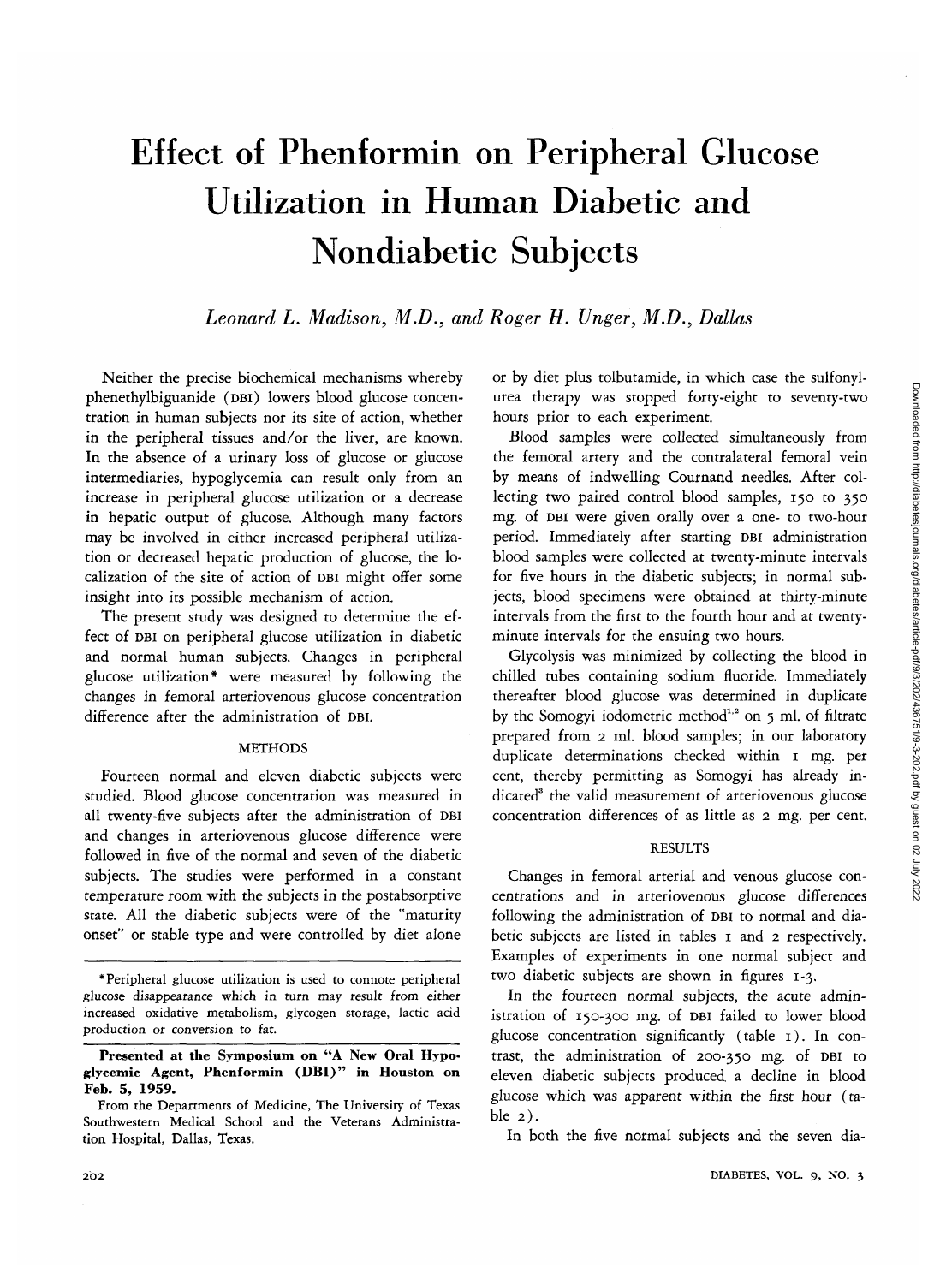# Effect of Phenformin on Peripheral Glucose Utilization in Human Diabetic and Nondiabetic Subjects

*Leonard L. Madison, M.D., and Roger H. linger, M.D., Dallas*

Neither the precise biochemical mechanisms whereby phenethylbiguanide (DBI) lowers blood glucose concentration in human subjects nor its site of action, whether in the peripheral tissues and/or the liver, are known. In the absence of a urinary loss of glucose or glucose intermediaries, hypoglycemia can result only from an increase in peripheral glucose utilization or a decrease in hepatic output of glucose. Although many factors may be involved in either increased peripheral utilization or decreased hepatic production of glucose, the localization of the site of action of DBI might offer some insight into its possible mechanism of action.

The present study was designed to determine the effect of DBI on peripheral glucose utilization in diabetic and normal human subjects. Changes in peripheral glucose utilization\* were measured by following the changes in femoral arteriovenous glucose concentration difference after the administration of DBI.

### **METHODS**

Fourteen normal and eleven diabetic subjects were studied. Blood glucose concentration was measured in all twenty-five subjects after the administration of DBI and changes in arteriovenous glucose difference were followed in five of the normal and seven of the diabetic subjects. The studies were performed in a constant temperature room with the subjects in the postabsorptive state. All the diabetic subjects were of the "maturity onset" or stable type and were controlled by diet alone

or by diet plus tolbutamide, in which case the sulfonylurea therapy was stopped forty-eight to seventy-two hours prior to each experiment.

Blood samples were collected simultaneously from the femoral artery and the contralateral femoral vein by means of indwelling Cournand needles. After collecting two paired control blood samples, 150 to 350 mg. of DBI were given orally over a one- to two-hour period. Immediately after starting DBI administration blood samples were collected at twenty-minute intervals for five hours in the diabetic subjects; in normal subjects, blood specimens were obtained at thirty-minute intervals from the first to the fourth hour and at twentyminute intervals for the ensuing two hours.

Glycolysis was minimized by collecting the blood in chilled tubes containing sodium fluoride. Immediately thereafter blood glucose was determined in duplicate by the Somogyi iodometric method<sup>1,2</sup> on 5 ml. of filtrate prepared from 2 ml. blood samples; in our laboratory duplicate determinations checked within 1 mg. per cent, thereby permitting as Somogyi has already indicated<sup>3</sup> the valid measurement of arteriovenous glucose concentration differences of as little as 2 mg. per cent.

### RESULTS

Changes in femoral arterial and venous glucose concentrations and in arteriovenous glucose differences following the administration of DBI to normal and diabetic subjects are listed in tables I and 2 respectively. Examples of experiments in one normal subject and two diabetic subjects are shown in figures 1-3.

In the fourteen normal subjects, the acute administration of 150-300 mg. of DBI failed to lower blood glucose concentration significantly (table 1). In contrast, the administration of 200-350 mg. of DBI to eleven diabetic subjects produced, a decline in blood glucose which was apparent within the first hour (table 2).

In both the five normal subjects and the seven dia-

<sup>\*</sup> Peripheral glucose utilization is used to connote peripheral glucose disappearance which in turn may result from either increased oxidative metabolism, glycogen storage, lactic acid production or conversion to fat.

**Presented at the Symposium on "A New Oral Hypoglycemic Agent, Phenformin (DBI)" in Houston on Feb. 5, 1959.**

From the Departments of Medicine, The University of Texas Southwestern Medical School and the Veterans Administration Hospital, Dallas, Texas.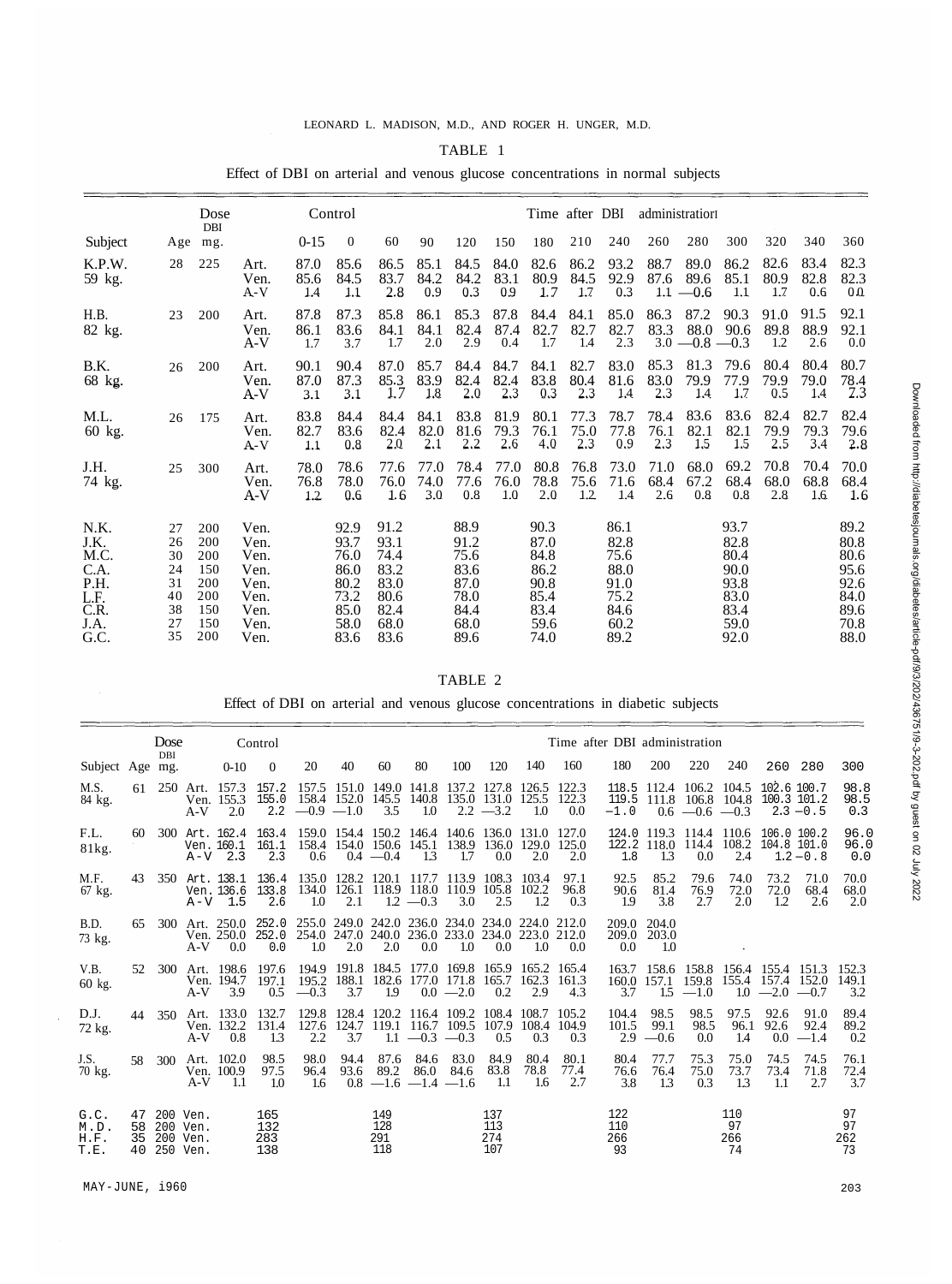## TABLE 1

## Effect of DBI on arterial and venous glucose concentrations in normal subjects

|                                                                      |                                                    | Dose                                                        |                                                                      |                     | Control                                                              |                                                                      |                     |                                                                      |                     |                                                                      | Time after DBI      |                                                                      | administratiorI     |                                   |                                                                      |                     |                     |                                                                      |
|----------------------------------------------------------------------|----------------------------------------------------|-------------------------------------------------------------|----------------------------------------------------------------------|---------------------|----------------------------------------------------------------------|----------------------------------------------------------------------|---------------------|----------------------------------------------------------------------|---------------------|----------------------------------------------------------------------|---------------------|----------------------------------------------------------------------|---------------------|-----------------------------------|----------------------------------------------------------------------|---------------------|---------------------|----------------------------------------------------------------------|
| Subject                                                              | Age                                                | <b>DBI</b><br>mg.                                           |                                                                      | $0-15$              | $\theta$                                                             | 60                                                                   | 90                  | 120                                                                  | 150                 | 180                                                                  | 210                 | 240                                                                  | 260                 | 280                               | 300                                                                  | 320                 | 340                 | 360                                                                  |
| K.P.W.<br>59 kg.                                                     | 28                                                 | 225                                                         | Art.<br>Ven.<br>A-V                                                  | 87.0<br>85.6<br>1.4 | 85.6<br>84.5<br>1.1                                                  | 86.5<br>83.7<br>2.8                                                  | 85.1<br>84.2<br>0.9 | 84.5<br>84.2<br>0.3                                                  | 84.0<br>83.1<br>0.9 | 82.6<br>80.9<br>1.7                                                  | 86.2<br>84.5<br>1.7 | 93.2<br>92.9<br>0.3                                                  | 88.7<br>87.6<br>1.1 | 89.0<br>89.6<br>$-0.6$            | 86.2<br>85.1<br>1.1                                                  | 82.6<br>80.9<br>1.7 | 83.4<br>82.8<br>0.6 | 82.3<br>82.3<br>0 <sub>0</sub>                                       |
| H.B.<br>82 kg.                                                       | 23                                                 | 200                                                         | Art.<br>Ven.<br>$A-V$                                                | 87.8<br>86.1<br>1.7 | 87.3<br>83.6<br>3.7                                                  | 85.8<br>84.1<br>1.7                                                  | 86.1<br>84.1<br>2.0 | 85.3<br>82.4<br>2.9                                                  | 87.8<br>87.4<br>0.4 | 84.4<br>82.7<br>1.7                                                  | 84.1<br>82.7<br>1.4 | 85.0<br>82.7<br>2.3                                                  | 86.3<br>83.3        | 87.2<br>88.0<br>$3.0 - 0.8 - 0.3$ | 90.3<br>90.6                                                         | 91.0<br>89.8<br>1.2 | 91.5<br>88.9<br>2.6 | 92.1<br>92.1<br>0.0                                                  |
| B.K.<br>68 kg.                                                       | 26                                                 | 200                                                         | Art.<br>Ven.<br>A-V                                                  | 90.1<br>87.0<br>3.1 | 90.4<br>87.3<br>3.1                                                  | 87.0<br>85.3<br>1.7                                                  | 85.7<br>83.9<br>1.8 | 84.4<br>82.4<br>2.0                                                  | 84.7<br>82.4<br>2.3 | 84.1<br>83.8<br>0.3                                                  | 82.7<br>80.4<br>2.3 | 83.0<br>81.6<br>1.4                                                  | 85.3<br>83.0<br>2,3 | 81.3<br>79.9<br>1.4               | 79.6<br>77.9<br>1.7                                                  | 80.4<br>79.9<br>0.5 | 80.4<br>79.0<br>1.4 | 80.7<br>78.4<br>7.3                                                  |
| M.L.<br>60 kg.                                                       | 26                                                 | 175                                                         | Art.<br>Ven.<br>$A-V$                                                | 83.8<br>82.7<br>1.1 | 84.4<br>83.6<br>0.8                                                  | 84.4<br>82.4<br>2.0                                                  | 84.1<br>82.0<br>2.1 | 83.8<br>81.6<br>2.2                                                  | 81.9<br>79.3<br>2.6 | 80.1<br>76.1<br>4.0                                                  | 77.3<br>75.0<br>2.3 | 78.7<br>77.8<br>0.9                                                  | 78.4<br>76.1<br>2.3 | 83.6<br>82.1<br>1.5               | 83.6<br>82.1<br>1.5                                                  | 82.4<br>79.9<br>2.5 | 82.7<br>79.3<br>3.4 | 82.4<br>79.6<br>2.8                                                  |
| J.H.<br>74 kg.                                                       | 25                                                 | 300                                                         | Art.<br>Ven.<br>$A-V$                                                | 78.0<br>76.8<br>1.2 | 78.6<br>78.0<br>0.6                                                  | 77.6<br>76.0<br>1.6                                                  | 77.0<br>74.0<br>3.0 | 78.4<br>77.6<br>0.8                                                  | 77.0<br>76.0<br>1.0 | 80.8<br>78.8<br>2.0                                                  | 76.8<br>75.6<br>1.2 | 73.0<br>71.6<br>1.4                                                  | 71.0<br>68.4<br>2.6 | 68.0<br>67.2<br>0.8               | 69.2<br>68.4<br>0.8                                                  | 70.8<br>68.0<br>2.8 | 70.4<br>68.8<br>1.6 | 70.0<br>68.4<br>1.6                                                  |
| N.K.<br>J.K.<br>M.C.<br>C.A.<br>P.H.<br>L.F.<br>C.R.<br>J.A.<br>G.C. | 27<br>26<br>30<br>24<br>31<br>40<br>38<br>27<br>35 | 200<br>200<br>200<br>150<br>200<br>200<br>150<br>150<br>200 | Ven.<br>Ven.<br>Ven.<br>Ven.<br>Ven.<br>Ven.<br>Ven.<br>Ven.<br>Ven. |                     | 92.9<br>93.7<br>76.0<br>86.0<br>80.2<br>73.2<br>85.0<br>58.0<br>83.6 | 91.2<br>93.1<br>74.4<br>83.2<br>83.0<br>80.6<br>82.4<br>68.0<br>83.6 |                     | 88.9<br>91.2<br>75.6<br>83.6<br>87.0<br>78.0<br>84.4<br>68.0<br>89.6 |                     | 90.3<br>87.0<br>84.8<br>86.2<br>90.8<br>85.4<br>83.4<br>59.6<br>74.0 |                     | 86.1<br>82.8<br>75.6<br>88.0<br>91.0<br>75.2<br>84.6<br>60.2<br>89.2 |                     |                                   | 93.7<br>82.8<br>80.4<br>90.0<br>93.8<br>83.0<br>83.4<br>59.0<br>92.0 |                     |                     | 89.2<br>80.8<br>80.6<br>95.6<br>92.6<br>84.0<br>89.6<br>70.8<br>88.0 |

## TABLE 2

Effect of DBI on arterial and venous glucose concentrations in diabetic subjects

|                              |                      | Dose<br>Control |                                              |                                 |                                      | Time after DBI administration |                    |                                                                                                           |                    |              |                                        |                             |                     |                             |                        |                                                                                     |                                   |                            |                        |                       |
|------------------------------|----------------------|-----------------|----------------------------------------------|---------------------------------|--------------------------------------|-------------------------------|--------------------|-----------------------------------------------------------------------------------------------------------|--------------------|--------------|----------------------------------------|-----------------------------|---------------------|-----------------------------|------------------------|-------------------------------------------------------------------------------------|-----------------------------------|----------------------------|------------------------|-----------------------|
| Subject Age                  |                      | DBI<br>mg.      |                                              | $0 - 10$                        | $\Omega$                             | 20                            | 40                 | 60                                                                                                        | 80                 | 100          | 120                                    | 140                         | 160                 | 180                         | 200                    | 220                                                                                 | 240                               | 260                        | 280                    | 300                   |
| M.S.<br>84 kg.               | 61                   |                 | 250 Art. 157.3<br>$A-V$                      | Ven. 155.3<br>2.0               | 157.2<br>155.0<br>2.2                | $-0.9 -1.0$                   | 157.5 151.0        | 158.4 152.0 145.5 140.8 135.0 131.0 125.5<br>3.5                                                          | 149.0 141.8<br>1.0 |              | 137.2 127.8 126.5 122.3<br>$2.2 - 3.2$ | 1.0                         | 122.3<br>0.0        | $-1.0$                      |                        | 118.5 112.4 106.2 104.5<br>119.5 111.8 106.8 104.8 100.3 101.2<br>$0.6 - 0.6 - 0.3$ |                                   | 102.6 100.7                | $2.3 - 0.5$            | 98.8<br>98.5<br>0.3   |
| F.L.<br>81kg.                | 60                   |                 |                                              | Ven. 160.1<br>$A-V$ 2.3         | 300 Art. 162.4 163.4<br>161.1<br>2.3 | 0.6                           |                    | 159.0 154.4 150.2 146.4 140.6 136.0 131.0 127.0<br>158.4 154.0 150.6 145.1<br>$0.4 - 0.4$                 | 1.3                | 1.7          | 138.9 136.0 129.0 125.0<br>0.0         | 2.0                         | 2.0                 | 1.8                         | 122.2 118.0<br>1.3     | 124.0 119.3 114.4<br>114.4<br>0.0                                                   | 110.6<br>108.2<br>2.4             | 106.0 100.2<br>104.8 101.0 | $1.2 - 0.8$            | 96.0<br>96.0<br>0.0   |
| M.F.<br>67 kg.               | 43                   |                 | 350 Art. 138.1                               | Ven. 136.6<br>$A-V$ 1.5         | 136.4<br>133.8<br>2.6                | 1.0                           | 134.0 126.1<br>2.1 | 135.0 128.2 120.1 117.7 113.9 108.3<br>118.9 118.0 110.9 105.8                                            | $1.2 - 0.3$        | 3.0          | 2.5                                    | 103.4<br>102.2<br>1.2       | 97.1<br>96.8<br>0.3 | 92.5<br>90.6<br>1.9         | 85.2<br>81.4<br>3.8    | 79.6<br>76.9<br>2.7                                                                 | 74.0<br>72.0<br>2.0               | 73.2<br>72.0<br>1.2        | 71.0<br>68.4<br>2.6    | 70.0<br>68.0<br>2.0   |
| B.D.<br>73 kg.               | 65                   | 300             | $A-V$                                        | Art. $250.0$<br>0.0             | 252.0<br>Ven. 250.0 252.0<br>0.0     | 1.0                           | 2.0                | 255.0 249.0 242.0 236.0 234.0 234.0 224.0 212.0<br>254.0 247.0 240.0 236.0 233.0 234.0 223.0 212.0<br>2.0 | 0.0                | 1.0          | 0.0                                    | 1.0                         | 0.0                 | 209.0 204.0<br>209.0<br>0.0 | 203.0<br>1.0           |                                                                                     |                                   |                            |                        |                       |
| V.B.<br>60 kg.               | 52.                  | 300             | $A-V$                                        | Art. 198.6<br>Ven. 194.7<br>3.9 | 197.6<br>197.1<br>0.5                | 195.2<br>$-0.3$               | 188.1<br>3.7       | 194.9 191.8 184.5 177.0 169.8 165.9<br>19                                                                 | 182.6 177.0 171.8  | $0.0 -2.0$   | 165.7<br>0.2                           | 165.2 165.4<br>162.3<br>2.9 | 161.3<br>4.3        | 163.7<br>3.7                | 160.0 157.1 159.8      | 158.6 158.8<br>$1.5 - 1.0$                                                          | 156.4 155.4<br>155.4 157.4<br>1.0 | $-2.0 -0.7$                | 151.3<br>152.0         | 152.3<br>149.1<br>3.2 |
| D.J.<br>72 kg.               | 44                   | 350             | $A-V$                                        | Art. 133.0<br>Ven. 132.2<br>0.8 | 132.7<br>131.4<br>1.3                | 127.6<br>2.2                  | 124.7<br>3.7       | 129.8 128.4 120.2 116.4 109.2 108.4 108.7 105.2<br>119.1 116.7 109.5<br>1.1                               | $-0.3$             | $-0.3$       | 0.5                                    | 107.9 108.4 104.9<br>0.3    | 0.3                 | 104.4<br>101.5<br>2.9       | 98.5<br>99.1<br>$-0.6$ | 98.5<br>98.5<br>0.0                                                                 | 97.5<br>96.1<br>1.4               | 92.6<br>92.6<br>$0.0\,$    | 91.0<br>92.4<br>$-1.4$ | 89.4<br>89.2<br>0.2   |
| J.S.<br>70 kg.               | 58                   | 300             | $A-V$                                        | Art. 102.0<br>Ven. 100.9<br>1.1 | 98.5<br>97.5<br>1.0                  | 98.0<br>96.4<br>1.6           | 94.4<br>93.6       | 87.6<br>89.2<br>$0.8 - 1.6 - 1.4 - 1.6$                                                                   | 84.6<br>86.0       | 83.0<br>84.6 | 84.9<br>83.8<br>-1.1                   | 80.4<br>78.8<br>1.6         | 80.1<br>77.4<br>2.7 | 80.4<br>76.6<br>3.8         | 77.7<br>76.4<br>1.3    | 75.3<br>75.0<br>0.3                                                                 | 75.0<br>73.7<br>1.3               | 74.5<br>73.4<br>1.1        | 74.5<br>71.8<br>2.7    | 76.1<br>72.4<br>3.7   |
| G.C.<br>M.D.<br>H.F.<br>T.E. | 47<br>58<br>35<br>40 |                 | 200 Ven.<br>200 Ven.<br>200 Ven.<br>250 Ven. |                                 | 165<br>132<br>283<br>138             |                               |                    | 149<br>128<br>291<br>118                                                                                  |                    |              | 137<br>113<br>274<br>107               |                             |                     | 122<br>110<br>266<br>93     |                        |                                                                                     | 110<br>97<br>266<br>74            |                            |                        | 97<br>97<br>262<br>73 |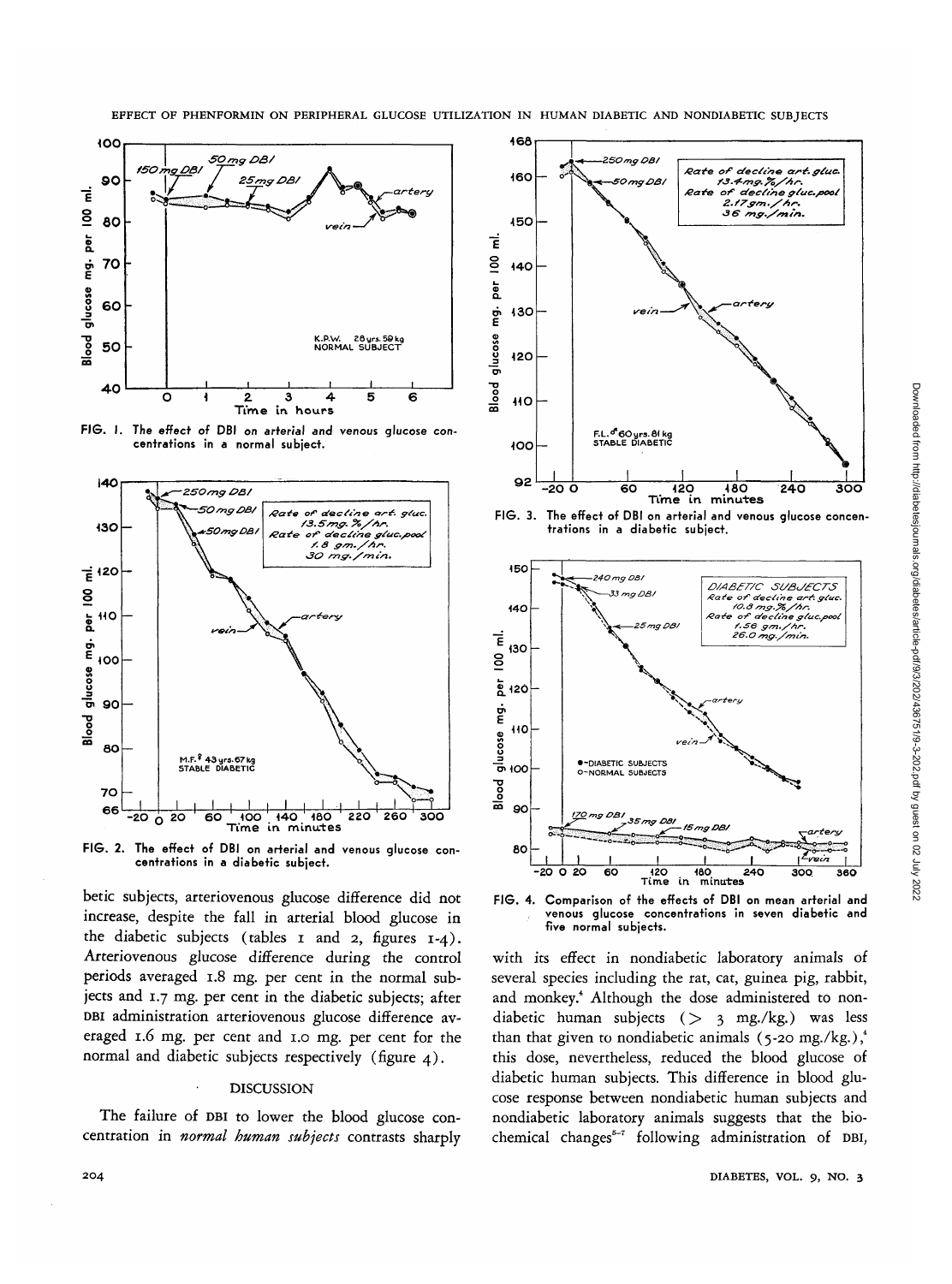Downloaded from http://diabetesjournals.org/diabetes/article-pdf/9/3/202/436751/9-3-202.pdf by guest on 02 July 2022

Downloaded from http://diabetesjournals.org/diabetes/article-pdf/9/3/202436751/9-3-202.pdf by guest on 02 July 2022



**FIG. I. The effect of DBI on arterial and venous glucose concentrations in a normal subject.**



**FIG. 2. The effect of DBI on arterial and venous glucose concentrations in a diabetic subject.**

betic subjects, arteriovenous glucose difference did not increase, despite the fall in arterial blood glucose in the diabetic subjects (tables i and 2, figures 1-4). Arteriovenous glucose difference during the control periods averaged 1.8 mg. per cent in the normal subjects and 1.7 mg. per cent in the diabetic subjects; after DBI administration arteriovenous glucose difference averaged 1.6 mg. per cent and 1.0 mg. per cent for the normal and diabetic subjects respectively (figure 4).

## **DISCUSSION**

The failure of DBI to lower the blood glucose concentration in *normal human subjects* contrasts sharply



**FIG. 3. The effect of DBI on arterial and venous glucose concentrations in a diabetic subject.**



**FIG. 4. Comparison of the effects of DBI on mean arterial and venous glucose concentrations in seven diabetic and five normal subjects.**

with its effect in nondiabetic laboratory animals of several species including the rat, cat, guinea pig, rabbit, and monkey.4 Although the dose administered to nondiabetic human subjects  $($  > 3 mg./kg.) was less than that given to nondiabetic animals  $(5\text{-}20 \text{ mg./kg.})$ ,<sup>4</sup> this dose, nevertheless, reduced the blood glucose of diabetic human subjects. This difference in blood glucose response between nondiabetic human subjects and nondiabetic laboratory animals suggests that the bio $chemical$  changes<sup>5-7</sup> following administration of DBI,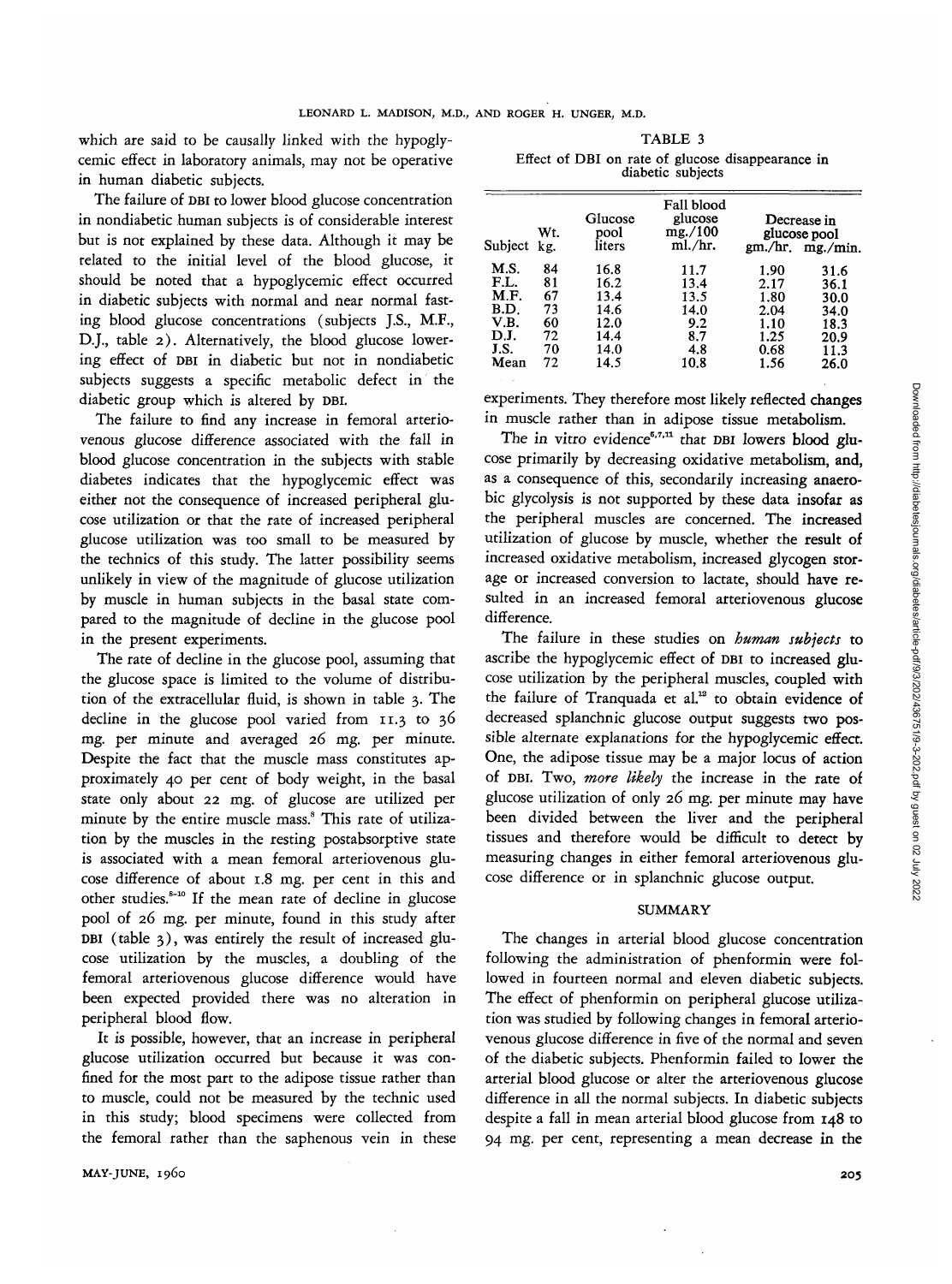which are said to be causally linked with the hypoglycemic effect in laboratory animals, may not be operative in human diabetic subjects.

The failure of DBI to lower blood glucose concentration in nondiabetic human subjects is of considerable interest but is not explained by these data. Although it may be related to the initial level of the blood glucose, *it* should be noted that a hypoglycemic effect occurred in diabetic subjects with normal and near normal fasting blood glucose concentrations (subjects J.S., M.F., D.J., table 2). Alternatively, the blood glucose lowering effect of DBI in diabetic but not in nondiabetic subjects suggests a specific metabolic defect in the diabetic group which is altered by DBI.

The failure to find any increase in femoral arteriovenous glucose difference associated with the fall in blood glucose concentration in the subjects with stable diabetes indicates that the hypoglycemic effect was either not the consequence of increased peripheral glucose utilization or that the rate of increased peripheral glucose utilization was too small to be measured by the technics of this study. The latter possibility seems unlikely in view of the magnitude of glucose utilization by muscle in human subjects in the basal state compared to the magnitude of decline in the glucose pool in the present experiments.

The rate of decline in the glucose pool, assuming that the glucose space is limited to the volume of distribution of the extracellular fluid, is shown in table 3. The decline in the glucose pool varied from 11.3 to 36 mg. per minute and averaged 26 mg. per minute. Despite the fact that the muscle mass constitutes approximately 40 per cent of body weight, in the basal state only about 22 mg. of glucose are utilized per minute by the entire muscle mass.<sup>8</sup> This rate of utilization by the muscles in the resting postabsorptive state is associated with a mean femoral arteriovenous glucose difference of about 1.8 mg. per cent in this and other studies.<sup>8-10</sup> If the mean rate of decline in glucose pool of 26 mg. per minute, found in this study after DBI (table 3), was entirely the result of increased glucose utilization by the muscles, a doubling of the femoral arteriovenous glucose difference would have been expected provided there was no alteration in peripheral blood flow.

It is possible, however, that an increase in peripheral glucose utilization occurred but because it was confined for the most part to the adipose tissue rather than to muscle, could not be measured by the technic used in this study; blood specimens were collected from the femoral rather than the saphenous vein in these

TABLE 3

|  |  |  |                   | Effect of DBI on rate of glucose disappearance in |  |
|--|--|--|-------------------|---------------------------------------------------|--|
|  |  |  | diabetic subjects |                                                   |  |

|         | Wt. | Glucose<br>pool | Fall blood<br>glucose<br>mg./100 |      | Decrease in<br>glucose pool |
|---------|-----|-----------------|----------------------------------|------|-----------------------------|
| Subject | kg. | liters          | ml./hr.                          |      | gm./hr. mg./min.            |
| M.S.    | 84  | 16.8            | 11.7                             | 1.90 | 31.6                        |
| F.L.    | 81  | 16.2            | 13.4                             | 2.17 | 36.1                        |
| M.F.    | 67  | 13.4            | 13.5                             | 1.80 | 30.0                        |
| B.D.    | 73  | 14.6            | 14.0                             | 2.04 | 34.0                        |
| V.B.    | 60  | 12.0            | 9.2                              | 1.10 | 18.3                        |
| D.J.    | 72  | 14.4            | 8.7                              | 1.25 | 20.9                        |
| J.S.    | 70  | 14.0            | 4.8                              | 0.68 | 11.3                        |
| Mean    | 72  | 14.5            | 10.8                             | 1.56 | 26.0                        |

experiments. They therefore most likely reflected changes in muscle rather than in adipose tissue metabolism.

The in vitro evidence<sup>5,7,11</sup> that DBI lowers blood glucose primarily by decreasing oxidative metabolism, and, as a consequence of this, secondarily increasing anaerobic glycolysis is not supported by these data insofar as the peripheral muscles are concerned. The increased utilization of glucose by muscle, whether the result of increased oxidative metabolism, increased glycogen storage or increased conversion to lactate, should have resulted in an increased femoral arteriovenous glucose difference.

The failure in these studies on *human subjects* to ascribe the hypoglycemic effect of DBI to increased glucose utilization by the peripheral muscles, coupled with the failure of Tranquada et al. $a^2$  to obtain evidence of decreased splanchnic glucose output suggests two possible alternate explanations for the hypoglycemic effect. One, the adipose tissue may be a major locus of action of DBI. Two, *more likely* the increase in the rate of glucose utilization of only 26 mg. per minute may have been divided between the liver and the peripheral tissues and therefore would be difficult to detect by measuring changes in either femoral arteriovenous glucose difference or in splanchnic glucose output.

#### SUMMARY

The changes in arterial blood glucose concentration following the administration of phenformin were followed in fourteen normal and eleven diabetic subjects. The effect of phenformin on peripheral glucose utilization was studied by following changes in femoral arteriovenous glucose difference in five of the normal and seven of the diabetic subjects. Phenformin failed to lower the arterial blood glucose or alter the arteriovenous glucose difference in all the normal subjects. In diabetic subjects despite a fall in mean arterial blood glucose from 148 to 94 mg. per cent, representing a mean decrease in the